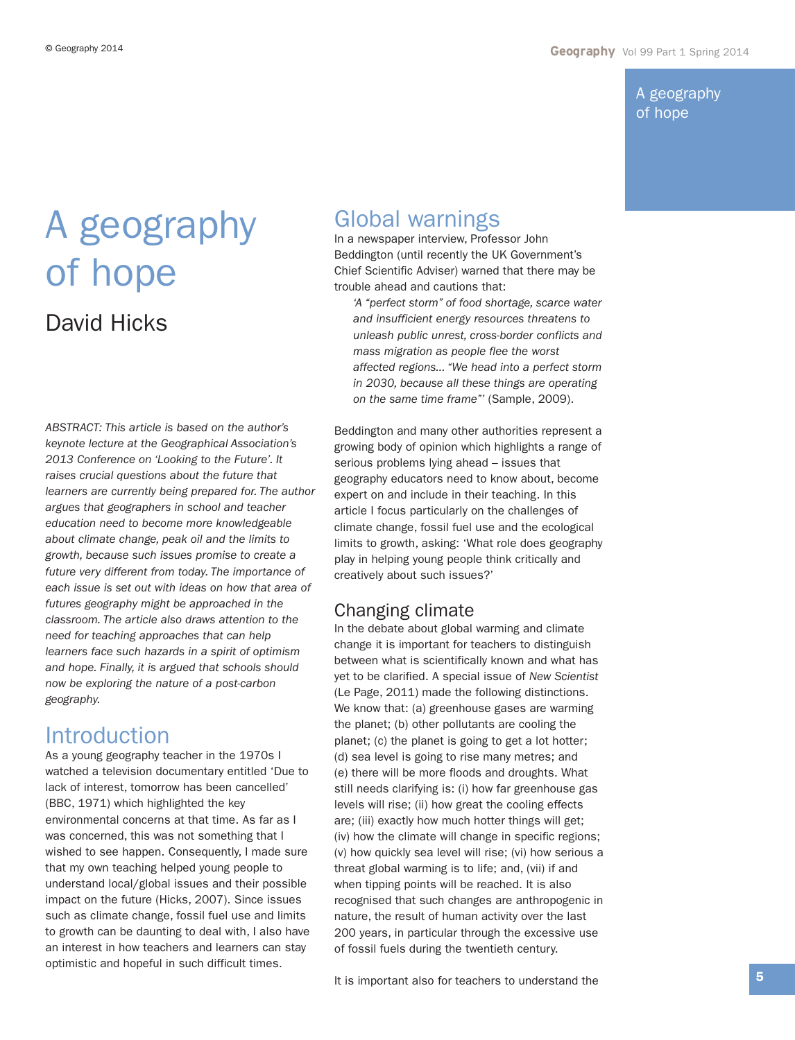A geography of hope

# A geography of hope David Hicks

*ABSTRACT: This article is based on the author's keynote lecture at the Geographical Association's 2013 Conference on 'Looking to the Future'. It raises crucial questions about the future that learners are currently being prepared for. The author argues that geographers in school and teacher education need to become more knowledgeable about climate change, peak oil and the limits to growth, because such issues promise to create a future very different from today. The importance of each issue is set out with ideas on how that area of futures geography might be approached in the classroom. The article also draws attention to the need for teaching approaches that can help learners face such hazards in a spirit of optimism and hope. Finally, it is argued that schools should now be exploring the nature of a post-carbon geography.* 

## **Introduction**

As a young geography teacher in the 1970s I watched a television documentary entitled 'Due to lack of interest, tomorrow has been cancelled' (BBC, 1971) which highlighted the key environmental concerns at that time. As far as I was concerned, this was not something that I wished to see happen. Consequently, I made sure that my own teaching helped young people to understand local/global issues and their possible impact on the future (Hicks, 2007). Since issues such as climate change, fossil fuel use and limits to growth can be daunting to deal with, I also have an interest in how teachers and learners can stay optimistic and hopeful in such difficult times.

## Global warnings

In a newspaper interview, Professor John Beddington (until recently the UK Government's Chief Scientific Adviser) warned that there may be trouble ahead and cautions that:

*'A "perfect storm" of food shortage, scarce water and insufficient energy resources threatens to unleash public unrest, cross-border conflicts and mass migration as people flee the worst affected regions... "We head into a perfect storm in 2030, because all these things are operating on the same time frame"'* (Sample, 2009).

Beddington and many other authorities represent a growing body of opinion which highlights a range of serious problems lying ahead – issues that geography educators need to know about, become expert on and include in their teaching. In this article I focus particularly on the challenges of climate change, fossil fuel use and the ecological limits to growth, asking: 'What role does geography play in helping young people think critically and creatively about such issues?'

## Changing climate

In the debate about global warming and climate change it is important for teachers to distinguish between what is scientifically known and what has yet to be clarified. A special issue of *New Scientist* (Le Page, 2011) made the following distinctions. We know that: (a) greenhouse gases are warming the planet; (b) other pollutants are cooling the planet; (c) the planet is going to get a lot hotter; (d) sea level is going to rise many metres; and (e) there will be more floods and droughts. What still needs clarifying is: (i) how far greenhouse gas levels will rise; (ii) how great the cooling effects are; (iii) exactly how much hotter things will get; (iv) how the climate will change in specific regions; (v) how quickly sea level will rise; (vi) how serious a threat global warming is to life; and, (vii) if and when tipping points will be reached. It is also recognised that such changes are anthropogenic in nature, the result of human activity over the last 200 years, in particular through the excessive use of fossil fuels during the twentieth century.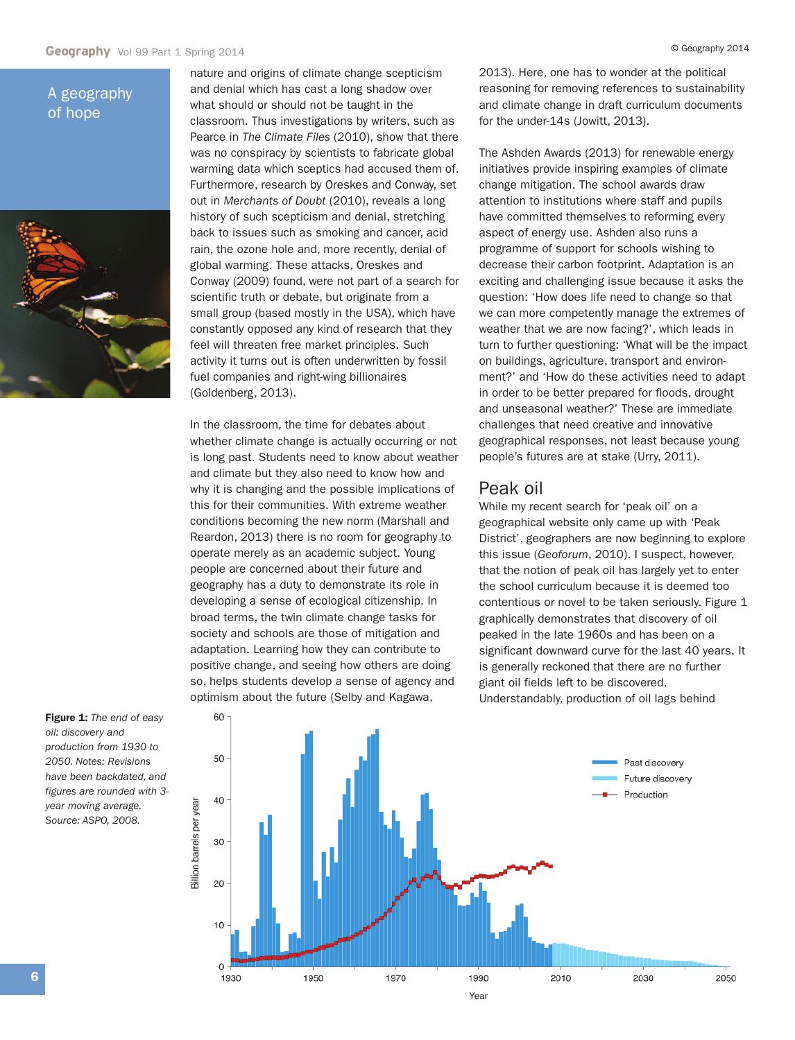### A geography of hope



nature and origins of climate change scepticism and denial which has cast a long shadow over what should or should not be taught in the classroom. Thus investigations by writers, such as Pearce in *The Climate Files* (2010), show that there was no conspiracy by scientists to fabricate global warming data which sceptics had accused them of. Furthermore, research by Oreskes and Conway, set out in *Merchants of Doubt* (2010), reveals a long history of such scepticism and denial, stretching back to issues such as smoking and cancer, acid rain, the ozone hole and, more recently, denial of global warming. These attacks, Oreskes and Conway (2009) found, were not part of a search for scientific truth or debate, but originate from a small group (based mostly in the USA), which have constantly opposed any kind of research that they feel will threaten free market principles. Such activity it turns out is often underwritten by fossil fuel companies and right-wing billionaires (Goldenberg, 2013).

In the classroom, the time for debates about whether climate change is actually occurring or not is long past. Students need to know about weather and climate but they also need to know how and why it is changing and the possible implications of this for their communities. With extreme weather conditions becoming the new norm (Marshall and Reardon, 2013) there is no room for geography to operate merely as an academic subject. Young people are concerned about their future and geography has a duty to demonstrate its role in developing a sense of ecological citizenship. In broad terms, the twin climate change tasks for society and schools are those of mitigation and adaptation. Learning how they can contribute to positive change, and seeing how others are doing so, helps students develop a sense of agency and optimism about the future (Selby and Kagawa,

2013). Here, one has to wonder at the political reasoning for removing references to sustainability and climate change in draft curriculum documents for the under-14s (Jowitt, 2013).

The Ashden Awards (2013) for renewable energy initiatives provide inspiring examples of climate change mitigation. The school awards draw attention to institutions where staff and pupils have committed themselves to reforming every aspect of energy use. Ashden also runs a programme of support for schools wishing to decrease their carbon footprint. Adaptation is an exciting and challenging issue because it asks the question: 'How does life need to change so that we can more competently manage the extremes of weather that we are now facing?', which leads in turn to further questioning: 'What will be the impact on buildings, agriculture, transport and environment?' and 'How do these activities need to adapt in order to be better prepared for floods, drought and unseasonal weather?' These are immediate challenges that need creative and innovative geographical responses, not least because young people's futures are at stake (Urry, 2011).

### Peak oil

While my recent search for 'peak oil' on a geographical website only came up with 'Peak District', geographers are now beginning to explore this issue (*Geoforum*, 2010). I suspect, however, that the notion of peak oil has largely yet to enter the school curriculum because it is deemed too contentious or novel to be taken seriously. Figure 1 graphically demonstrates that discovery of oil peaked in the late 1960s and has been on a significant downward curve for the last 40 years. It is generally reckoned that there are no further giant oil fields left to be discovered. Understandably, production of oil lags behind

**Figure 1:** *The end of easy oil: discovery and production from 1930 to 2050. Notes: Revisions have been backdated, and figures are rounded with 3 year moving average. Source: ASPO, 2008.*

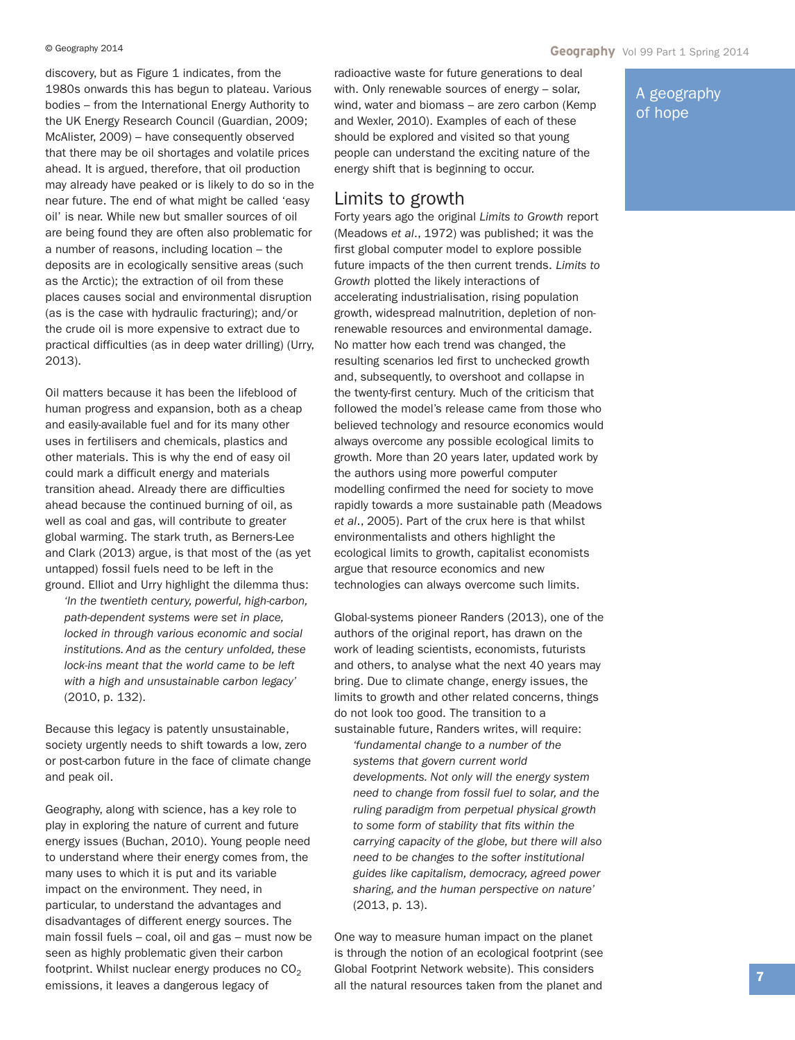discovery, but as Figure 1 indicates, from the 1980s onwards this has begun to plateau. Various bodies – from the International Energy Authority to the UK Energy Research Council (Guardian, 2009; McAlister, 2009) – have consequently observed that there may be oil shortages and volatile prices ahead. It is argued, therefore, that oil production may already have peaked or is likely to do so in the near future. The end of what might be called 'easy oil' is near. While new but smaller sources of oil are being found they are often also problematic for a number of reasons, including location – the deposits are in ecologically sensitive areas (such as the Arctic); the extraction of oil from these places causes social and environmental disruption (as is the case with hydraulic fracturing); and/or the crude oil is more expensive to extract due to practical difficulties (as in deep water drilling) (Urry, 2013).

Oil matters because it has been the lifeblood of human progress and expansion, both as a cheap and easily-available fuel and for its many other uses in fertilisers and chemicals, plastics and other materials. This is why the end of easy oil could mark a difficult energy and materials transition ahead. Already there are difficulties ahead because the continued burning of oil, as well as coal and gas, will contribute to greater global warming. The stark truth, as Berners-Lee and Clark (2013) argue, is that most of the (as yet untapped) fossil fuels need to be left in the ground. Elliot and Urry highlight the dilemma thus:

*'In the twentieth century, powerful, high-carbon, path-dependent systems were set in place, locked in through various economic and social institutions. And as the century unfolded, these lock-ins meant that the world came to be left with a high and unsustainable carbon legacy'* (2010, p. 132).

Because this legacy is patently unsustainable, society urgently needs to shift towards a low, zero or post-carbon future in the face of climate change and peak oil.

Geography, along with science, has a key role to play in exploring the nature of current and future energy issues (Buchan, 2010). Young people need to understand where their energy comes from, the many uses to which it is put and its variable impact on the environment. They need, in particular, to understand the advantages and disadvantages of different energy sources. The main fossil fuels – coal, oil and gas – must now be seen as highly problematic given their carbon footprint. Whilst nuclear energy produces no  $CO<sub>2</sub>$ emissions, it leaves a dangerous legacy of

radioactive waste for future generations to deal with. Only renewable sources of energy – solar, wind, water and biomass – are zero carbon (Kemp and Wexler, 2010). Examples of each of these should be explored and visited so that young people can understand the exciting nature of the energy shift that is beginning to occur.

### Limits to growth

Forty years ago the original *Limits to Growth* report (Meadows *et al*., 1972) was published; it was the first global computer model to explore possible future impacts of the then current trends. *Limits to Growth* plotted the likely interactions of accelerating industrialisation, rising population growth, widespread malnutrition, depletion of nonrenewable resources and environmental damage. No matter how each trend was changed, the resulting scenarios led first to unchecked growth and, subsequently, to overshoot and collapse in the twenty-first century. Much of the criticism that followed the model's release came from those who believed technology and resource economics would always overcome any possible ecological limits to growth. More than 20 years later, updated work by the authors using more powerful computer modelling confirmed the need for society to move rapidly towards a more sustainable path (Meadows *et al*., 2005). Part of the crux here is that whilst environmentalists and others highlight the ecological limits to growth, capitalist economists argue that resource economics and new technologies can always overcome such limits.

Global-systems pioneer Randers (2013), one of the authors of the original report, has drawn on the work of leading scientists, economists, futurists and others, to analyse what the next 40 years may bring. Due to climate change, energy issues, the limits to growth and other related concerns, things do not look too good. The transition to a sustainable future, Randers writes, will require:

*'fundamental change to a number of the systems that govern current world developments. Not only will the energy system need to change from fossil fuel to solar, and the ruling paradigm from perpetual physical growth to some form of stability that fits within the carrying capacity of the globe, but there will also need to be changes to the softer institutional guides like capitalism, democracy, agreed power sharing, and the human perspective on nature'* (2013, p. 13).

One way to measure human impact on the planet is through the notion of an ecological footprint (see Global Footprint Network website). This considers all the natural resources taken from the planet and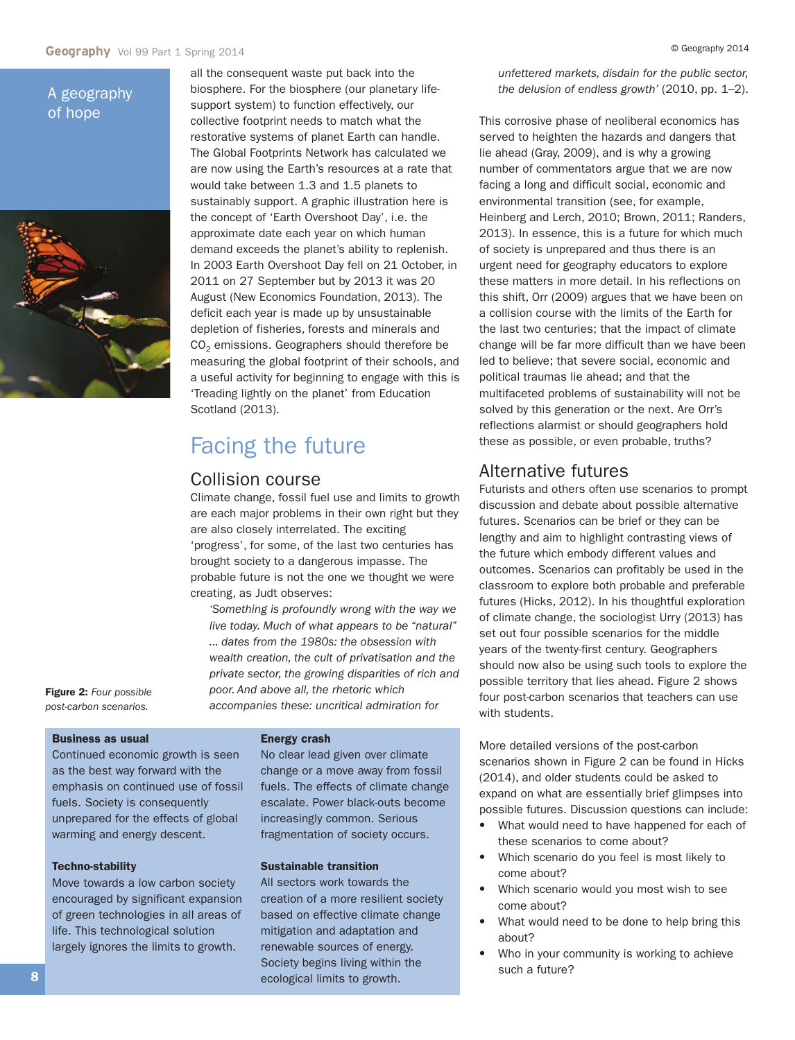### A geography of hope



all the consequent waste put back into the biosphere. For the biosphere (our planetary lifesupport system) to function effectively, our collective footprint needs to match what the restorative systems of planet Earth can handle. The Global Footprints Network has calculated we are now using the Earth's resources at a rate that would take between 1.3 and 1.5 planets to sustainably support. A graphic illustration here is the concept of 'Earth Overshoot Day', i.e. the approximate date each year on which human demand exceeds the planet's ability to replenish. In 2003 Earth Overshoot Day fell on 21 October, in 2011 on 27 September but by 2013 it was 20 August (New Economics Foundation, 2013). The deficit each year is made up by unsustainable depletion of fisheries, forests and minerals and  $CO<sub>2</sub>$  emissions. Geographers should therefore be measuring the global footprint of their schools, and a useful activity for beginning to engage with this is 'Treading lightly on the planet' from Education Scotland (2013).

## Facing the future

### Collision course

Climate change, fossil fuel use and limits to growth are each major problems in their own right but they are also closely interrelated. The exciting 'progress', for some, of the last two centuries has brought society to a dangerous impasse. The probable future is not the one we thought we were creating, as Judt observes:

*'Something is profoundly wrong with the way we live today. Much of what appears to be "natural" ... dates from the 1980s: the obsession with wealth creation, the cult of privatisation and the private sector, the growing disparities of rich and poor. And above all, the rhetoric which accompanies these: uncritical admiration for*

**Figure 2:** *Four possible post-carbon scenarios.*

#### **Business as usual**

Continued economic growth is seen as the best way forward with the emphasis on continued use of fossil fuels. Society is consequently unprepared for the effects of global warming and energy descent.

#### **Techno-stability**

Move towards a low carbon society encouraged by significant expansion of green technologies in all areas of life. This technological solution largely ignores the limits to growth.

#### **Energy crash**

No clear lead given over climate change or a move away from fossil fuels. The effects of climate change escalate. Power black-outs become increasingly common. Serious fragmentation of society occurs.

#### **Sustainable transition**

All sectors work towards the creation of a more resilient society based on effective climate change mitigation and adaptation and renewable sources of energy. Society begins living within the ecological limits to growth.

*unfettered markets, disdain for the public sector, the delusion of endless growth'* (2010, pp. 1–2).

This corrosive phase of neoliberal economics has served to heighten the hazards and dangers that lie ahead (Gray, 2009), and is why a growing number of commentators argue that we are now facing a long and difficult social, economic and environmental transition (see, for example, Heinberg and Lerch, 2010; Brown, 2011; Randers, 2013). In essence, this is a future for which much of society is unprepared and thus there is an urgent need for geography educators to explore these matters in more detail. In his reflections on this shift, Orr (2009) argues that we have been on a collision course with the limits of the Earth for the last two centuries; that the impact of climate change will be far more difficult than we have been led to believe; that severe social, economic and political traumas lie ahead; and that the multifaceted problems of sustainability will not be solved by this generation or the next. Are Orr's reflections alarmist or should geographers hold these as possible, or even probable, truths?

### Alternative futures

Futurists and others often use scenarios to prompt discussion and debate about possible alternative futures. Scenarios can be brief or they can be lengthy and aim to highlight contrasting views of the future which embody different values and outcomes. Scenarios can profitably be used in the classroom to explore both probable and preferable futures (Hicks, 2012). In his thoughtful exploration of climate change, the sociologist Urry (2013) has set out four possible scenarios for the middle years of the twenty-first century. Geographers should now also be using such tools to explore the possible territory that lies ahead. Figure 2 shows four post-carbon scenarios that teachers can use with students.

More detailed versions of the post-carbon scenarios shown in Figure 2 can be found in Hicks (2014), and older students could be asked to expand on what are essentially brief glimpses into possible futures. Discussion questions can include:

- **•** What would need to have happened for each of these scenarios to come about?
- **•** Which scenario do you feel is most likely to come about?
- **•** Which scenario would you most wish to see come about?
- **•** What would need to be done to help bring this about?
- **•** Who in your community is working to achieve such a future?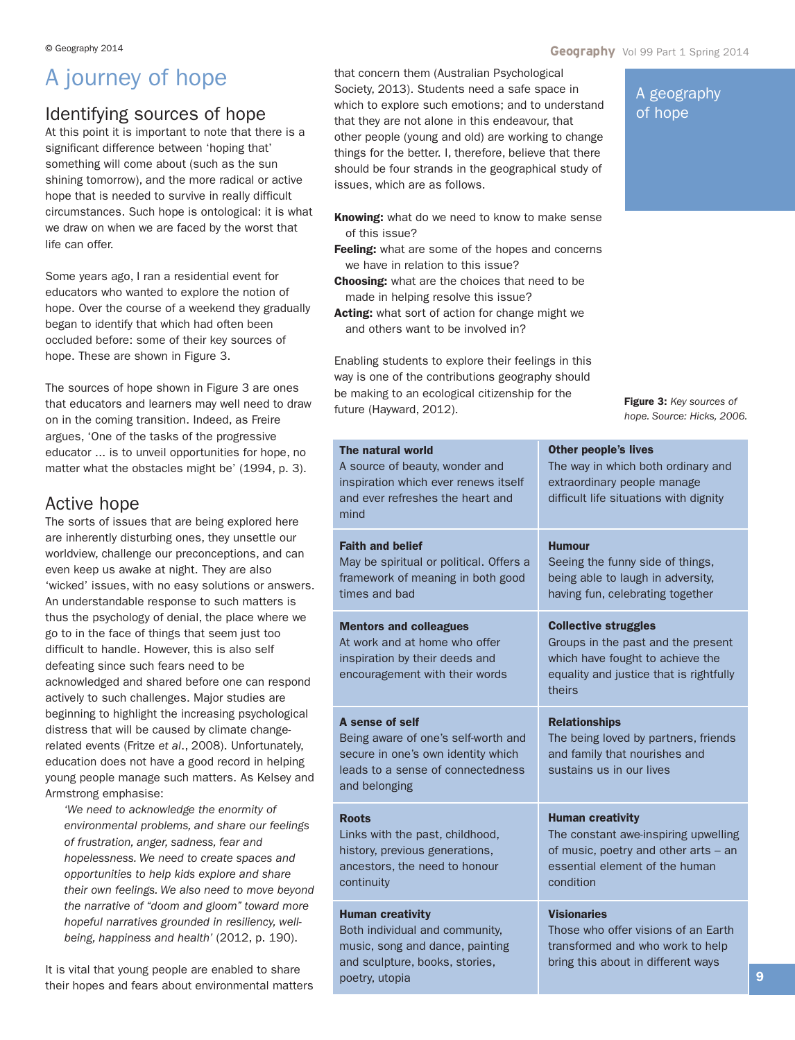## A journey of hope

## Identifying sources of hope

At this point it is important to note that there is a significant difference between 'hoping that' something will come about (such as the sun shining tomorrow), and the more radical or active hope that is needed to survive in really difficult circumstances. Such hope is ontological: it is what we draw on when we are faced by the worst that life can offer.

Some years ago, I ran a residential event for educators who wanted to explore the notion of hope. Over the course of a weekend they gradually began to identify that which had often been occluded before: some of their key sources of hope. These are shown in Figure 3.

The sources of hope shown in Figure 3 are ones that educators and learners may well need to draw on in the coming transition. Indeed, as Freire argues, 'One of the tasks of the progressive educator ... is to unveil opportunities for hope, no matter what the obstacles might be' (1994, p. 3).

## Active hope

The sorts of issues that are being explored here are inherently disturbing ones, they unsettle our worldview, challenge our preconceptions, and can even keep us awake at night. They are also 'wicked' issues, with no easy solutions or answers. An understandable response to such matters is thus the psychology of denial, the place where we go to in the face of things that seem just too difficult to handle. However, this is also self defeating since such fears need to be acknowledged and shared before one can respond actively to such challenges. Major studies are beginning to highlight the increasing psychological distress that will be caused by climate changerelated events (Fritze *et al*., 2008). Unfortunately, education does not have a good record in helping young people manage such matters. As Kelsey and Armstrong emphasise:

*'We need to acknowledge the enormity of environmental problems, and share our feelings of frustration, anger, sadness, fear and hopelessness. We need to create spaces and opportunities to help kids explore and share their own feelings. We also need to move beyond the narrative of "doom and gloom" toward more hopeful narratives grounded in resiliency, wellbeing, happiness and health'* (2012, p. 190).

It is vital that young people are enabled to share their hopes and fears about environmental matters that concern them (Australian Psychological Society, 2013). Students need a safe space in which to explore such emotions; and to understand that they are not alone in this endeavour, that other people (young and old) are working to change things for the better. I, therefore, believe that there should be four strands in the geographical study of issues, which are as follows.

- **Knowing:** what do we need to know to make sense of this issue?
- **Feeling:** what are some of the hopes and concerns we have in relation to this issue?
- **Choosing:** what are the choices that need to be made in helping resolve this issue?
- **Acting:** what sort of action for change might we and others want to be involved in?

Enabling students to explore their feelings in this way is one of the contributions geography should be making to an ecological citizenship for the future (Hayward, 2012).

A geography of hope

**Figure 3:** *Key sources of hope. Source: Hicks, 2006.*

| The natural world<br>A source of beauty, wonder and<br>inspiration which ever renews itself<br>and ever refreshes the heart and<br>mind            | <b>Other people's lives</b><br>The way in which both ordinary and<br>extraordinary people manage<br>difficult life situations with dignity                 |
|----------------------------------------------------------------------------------------------------------------------------------------------------|------------------------------------------------------------------------------------------------------------------------------------------------------------|
| <b>Faith and belief</b><br>May be spiritual or political. Offers a<br>framework of meaning in both good<br>times and bad                           | <b>Humour</b><br>Seeing the funny side of things,<br>being able to laugh in adversity,<br>having fun, celebrating together                                 |
| <b>Mentors and colleagues</b><br>At work and at home who offer<br>inspiration by their deeds and<br>encouragement with their words                 | <b>Collective struggles</b><br>Groups in the past and the present<br>which have fought to achieve the<br>equality and justice that is rightfully<br>theirs |
| A sense of self<br>Being aware of one's self-worth and<br>secure in one's own identity which<br>leads to a sense of connectedness<br>and belonging | <b>Relationships</b><br>The being loved by partners, friends<br>and family that nourishes and<br>sustains us in our lives                                  |
| <b>Roots</b><br>Links with the past, childhood,<br>history, previous generations,<br>ancestors, the need to honour<br>continuity                   | <b>Human creativity</b><br>The constant awe-inspiring upwelling<br>of music, poetry and other arts - an<br>essential element of the human<br>condition     |
| <b>Human creativity</b><br>Both individual and community,<br>music, song and dance, painting<br>and sculpture, books, stories,<br>poetry, utopia   | <b>Visionaries</b><br>Those who offer visions of an Earth<br>transformed and who work to help<br>bring this about in different ways                        |
|                                                                                                                                                    |                                                                                                                                                            |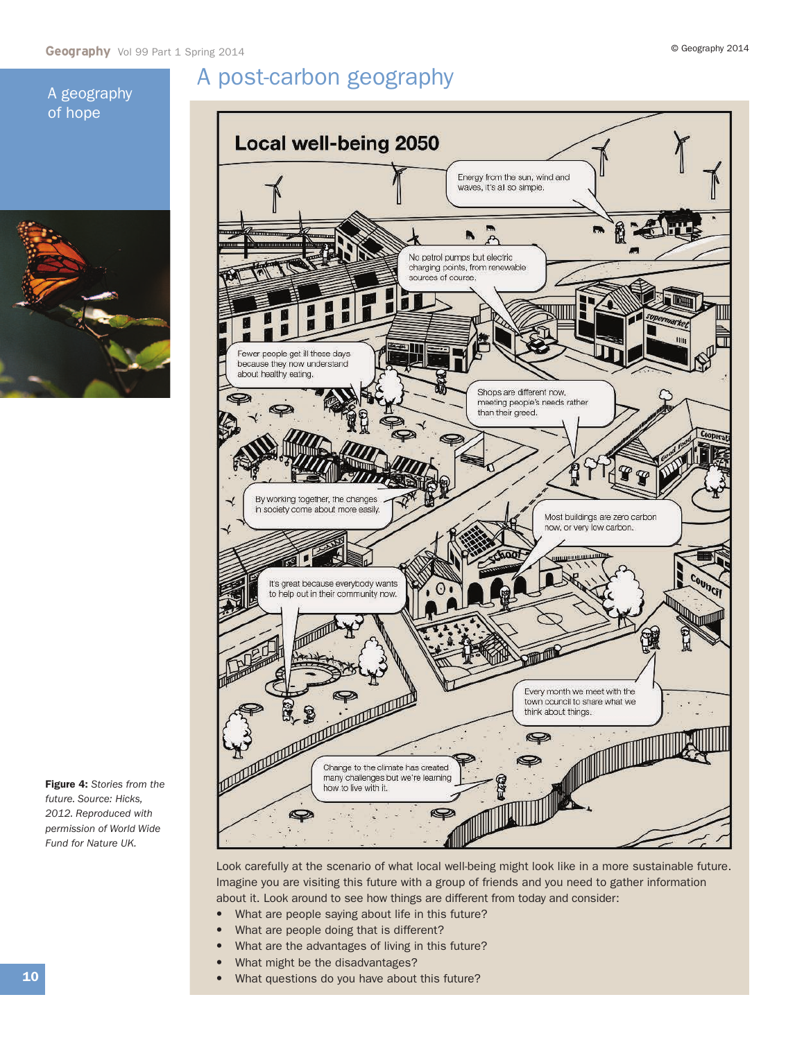## A post-carbon geography

## A geography of hope



**Figure 4:** *Stories from the future. Source: Hicks, 2012. Reproduced with permission of World Wide Fund for Nature UK.*



Look carefully at the scenario of what local well-being might look like in a more sustainable future. Imagine you are visiting this future with a group of friends and you need to gather information about it. Look around to see how things are different from today and consider:

- **•** What are people saying about life in this future?
- **•** What are people doing that is different?
- **•** What are the advantages of living in this future?
- **•** What might be the disadvantages?
- **•** What questions do you have about this future?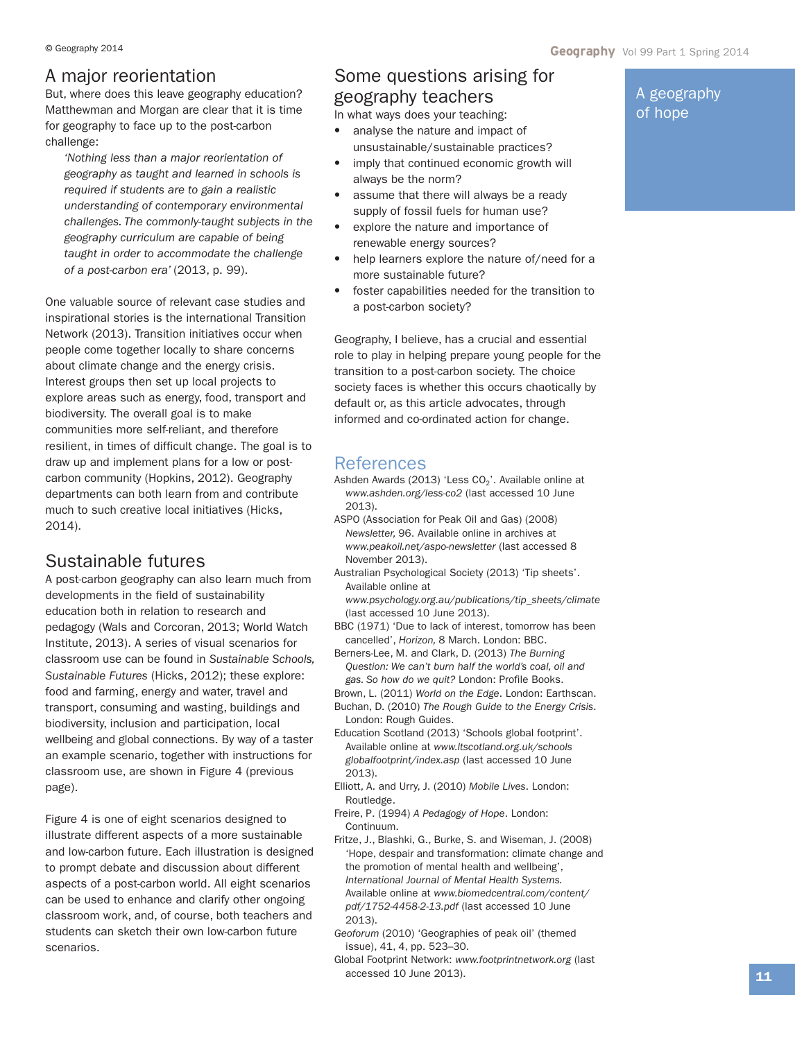## A major reorientation

But, where does this leave geography education? Matthewman and Morgan are clear that it is time for geography to face up to the post-carbon challenge:

*'Nothing less than a major reorientation of geography as taught and learned in schools is required if students are to gain a realistic understanding of contemporary environmental challenges. The commonly-taught subjects in the geography curriculum are capable of being taught in order to accommodate the challenge of a post-carbon era'* (2013, p. 99).

One valuable source of relevant case studies and inspirational stories is the international Transition Network (2013). Transition initiatives occur when people come together locally to share concerns about climate change and the energy crisis. Interest groups then set up local projects to explore areas such as energy, food, transport and biodiversity. The overall goal is to make communities more self-reliant, and therefore resilient, in times of difficult change. The goal is to draw up and implement plans for a low or postcarbon community (Hopkins, 2012). Geography departments can both learn from and contribute much to such creative local initiatives (Hicks, 2014).

## Sustainable futures

A post-carbon geography can also learn much from developments in the field of sustainability education both in relation to research and pedagogy (Wals and Corcoran, 2013; World Watch Institute, 2013). A series of visual scenarios for classroom use can be found in *Sustainable Schools, Sustainable Futures* (Hicks, 2012); these explore: food and farming, energy and water, travel and transport, consuming and wasting, buildings and biodiversity, inclusion and participation, local wellbeing and global connections. By way of a taster an example scenario, together with instructions for classroom use, are shown in Figure 4 (previous page).

Figure 4 is one of eight scenarios designed to illustrate different aspects of a more sustainable and low-carbon future. Each illustration is designed to prompt debate and discussion about different aspects of a post-carbon world. All eight scenarios can be used to enhance and clarify other ongoing classroom work, and, of course, both teachers and students can sketch their own low-carbon future scenarios.

A geography of hope

## Some questions arising for geography teachers

In what ways does your teaching:

- **•** analyse the nature and impact of unsustainable/sustainable practices?
- **•** imply that continued economic growth will always be the norm?
- **•** assume that there will always be a ready supply of fossil fuels for human use?
- **•** explore the nature and importance of renewable energy sources?
- **•** help learners explore the nature of/need for a more sustainable future?
- **•** foster capabilities needed for the transition to a post-carbon society?

Geography, I believe, has a crucial and essential role to play in helping prepare young people for the transition to a post-carbon society. The choice society faces is whether this occurs chaotically by default or, as this article advocates, through informed and co-ordinated action for change.

### References

- Ashden Awards (2013) 'Less  $CO<sub>2</sub>$ '. Available online at *www.ashden.org/less-co2* (last accessed 10 June 2013).
- ASPO (Association for Peak Oil and Gas) (2008) *Newsletter,* 96. Available online in archives at *www.peakoil.net/aspo-newsletter* (last accessed 8 November 2013).
- Australian Psychological Society (2013) 'Tip sheets'. Available online at
	- *www.psychology.org.au/publications/tip\_sheets/climate* (last accessed 10 June 2013).
- BBC (1971) 'Due to lack of interest, tomorrow has been cancelled', *Horizon,* 8 March. London: BBC.
- Berners-Lee, M. and Clark, D. (2013) *The Burning Question: We can't burn half the world's coal, oil and gas. So how do we quit?* London: Profile Books.
- Brown, L. (2011) *World on the Edge*. London: Earthscan. Buchan, D. (2010) *The Rough Guide to the Energy Crisis*. London: Rough Guides.
- Education Scotland (2013) 'Schools global footprint'. Available online at *www.ltscotland.org.uk/schools globalfootprint/index.asp* (last accessed 10 June 2013).
- Elliott, A. and Urry, J. (2010) *Mobile Lives*. London: Routledge.
- Freire, P. (1994) *A Pedagogy of Hope*. London: Continuum.
- Fritze, J., Blashki, G., Burke, S. and Wiseman, J. (2008) 'Hope, despair and transformation: climate change and the promotion of mental health and wellbeing', *International Journal of Mental Health Systems.* Available online at *www.biomedcentral.com/content/ pdf/1752-4458-2-13.pdf* (last accessed 10 June 2013).
- *Geoforum* (2010) 'Geographies of peak oil' (themed issue), 41, 4, pp. 523–30.
- Global Footprint Network: *www.footprintnetwork.org* (last accessed 10 June 2013).